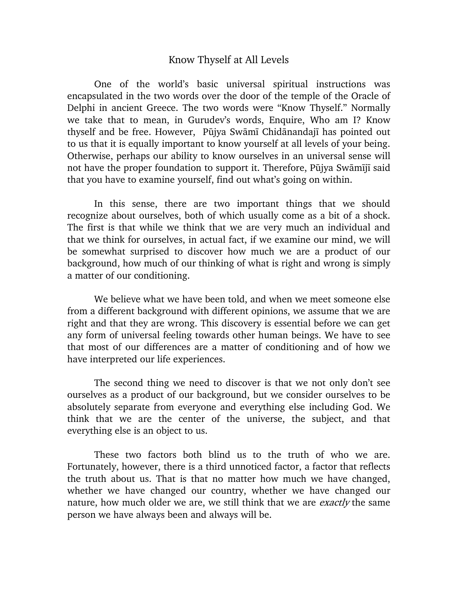## Know Thyself at All Levels

One of the world's basic universal spiritual instructions was encapsulated in the two words over the door of the temple of the Oracle of Delphi in ancient Greece. The two words were "Know Thyself." Normally we take that to mean, in Gurudev's words, Enquire, Who am I? Know thyself and be free. However, Pūjya Swāmī Chidānandajī has pointed out to us that it is equally important to know yourself at all levels of your being. Otherwise, perhaps our ability to know ourselves in an universal sense will not have the proper foundation to support it. Therefore, Pūjya Swāmījī said that you have to examine yourself, find out what's going on within.

In this sense, there are two important things that we should recognize about ourselves, both of which usually come as a bit of a shock. The first is that while we think that we are very much an individual and that we think for ourselves, in actual fact, if we examine our mind, we will be somewhat surprised to discover how much we are a product of our background, how much of our thinking of what is right and wrong is simply a matter of our conditioning.

We believe what we have been told, and when we meet someone else from a different background with different opinions, we assume that we are right and that they are wrong. This discovery is essential before we can get any form of universal feeling towards other human beings. We have to see that most of our differences are a matter of conditioning and of how we have interpreted our life experiences.

The second thing we need to discover is that we not only don't see ourselves as a product of our background, but we consider ourselves to be absolutely separate from everyone and everything else including God. We think that we are the center of the universe, the subject, and that everything else is an object to us.

These two factors both blind us to the truth of who we are. Fortunately, however, there is a third unnoticed factor, a factor that reflects the truth about us. That is that no matter how much we have changed, whether we have changed our country, whether we have changed our nature, how much older we are, we still think that we are *exactly* the same person we have always been and always will be.